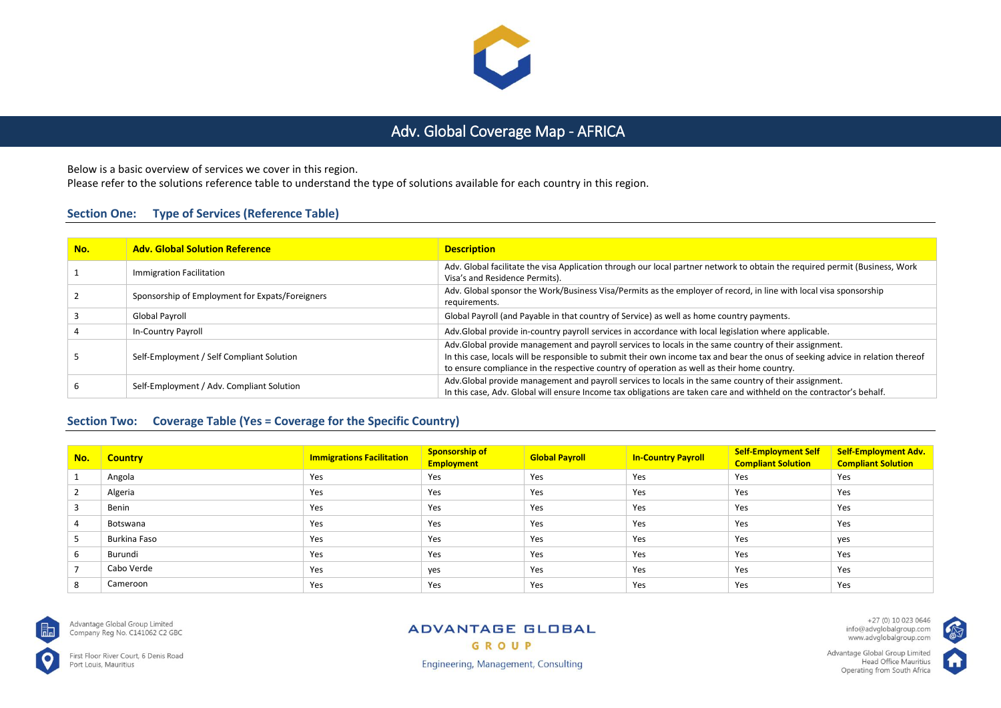

# Adv. Global Coverage Map - AFRICA

Below is a basic overview of services we cover in this region.

Please refer to the solutions reference table to understand the type of solutions available for each country in this region.

### **Section One: Type of Services (Reference Table)**

| No. | <b>Adv. Global Solution Reference</b>           | <b>Description</b>                                                                                                                                                                                                                                                                                                                     |
|-----|-------------------------------------------------|----------------------------------------------------------------------------------------------------------------------------------------------------------------------------------------------------------------------------------------------------------------------------------------------------------------------------------------|
|     | Immigration Facilitation                        | Adv. Global facilitate the visa Application through our local partner network to obtain the required permit (Business, Work<br>Visa's and Residence Permits).                                                                                                                                                                          |
|     | Sponsorship of Employment for Expats/Foreigners | Adv. Global sponsor the Work/Business Visa/Permits as the employer of record, in line with local visa sponsorship<br>requirements.                                                                                                                                                                                                     |
|     | Global Payroll                                  | Global Payroll (and Payable in that country of Service) as well as home country payments.                                                                                                                                                                                                                                              |
|     | In-Country Payroll                              | Adv.Global provide in-country payroll services in accordance with local legislation where applicable.                                                                                                                                                                                                                                  |
|     | Self-Employment / Self Compliant Solution       | Adv.Global provide management and payroll services to locals in the same country of their assignment.<br>In this case, locals will be responsible to submit their own income tax and bear the onus of seeking advice in relation thereof<br>to ensure compliance in the respective country of operation as well as their home country. |
|     | Self-Employment / Adv. Compliant Solution       | Adv. Global provide management and payroll services to locals in the same country of their assignment.<br>In this case, Adv. Global will ensure Income tax obligations are taken care and withheld on the contractor's behalf.                                                                                                         |

# **Section Two: Coverage Table (Yes = Coverage for the Specific Country)**

| No.            | <b>Country</b> | <b>Immigrations Facilitation</b> | <b>Sponsorship of</b><br><b>Employment</b> | <b>Global Payroll</b> | <b>In-Country Payroll</b> | <b>Self-Employment Self</b><br><b>Compliant Solution</b> | <b>Self-Employment Adv.</b><br><b>Compliant Solution</b> |
|----------------|----------------|----------------------------------|--------------------------------------------|-----------------------|---------------------------|----------------------------------------------------------|----------------------------------------------------------|
|                | Angola         | Yes                              | Yes                                        | Yes                   | Yes                       | Yes                                                      | Yes                                                      |
| $\overline{2}$ | Algeria        | Yes                              | Yes                                        | Yes                   | Yes                       | Yes                                                      | Yes                                                      |
|                | Benin          | Yes                              | Yes                                        | Yes                   | Yes                       | Yes                                                      | Yes                                                      |
| 4              | Botswana       | Yes                              | Yes                                        | Yes                   | Yes                       | Yes                                                      | Yes                                                      |
|                | Burkina Faso   | Yes                              | Yes                                        | Yes                   | Yes                       | Yes                                                      | yes                                                      |
| 6              | Burundi        | Yes                              | Yes                                        | Yes                   | Yes                       | Yes                                                      | Yes                                                      |
|                | Cabo Verde     | Yes                              | ves                                        | Yes                   | Yes                       | Yes                                                      | Yes                                                      |
| 8              | Cameroon       | Yes                              | Yes                                        | Yes                   | Yes                       | Yes                                                      | Yes                                                      |



Advantage Global Group Limited Company Reg No. C141062 C2 GBC

First Floor River Court, 6 Denis Road Port Louis, Mauritius

#### **ADVANTAGE GLOBAL** GROUP

+27 (0) 10 023 0646<br>info@advglobalgroup.com<br>www.advglobalgroup.com

Advantage Global Group Limited Head Office Mauritius Operating from South Africa



**Engineering, Management, Consulting**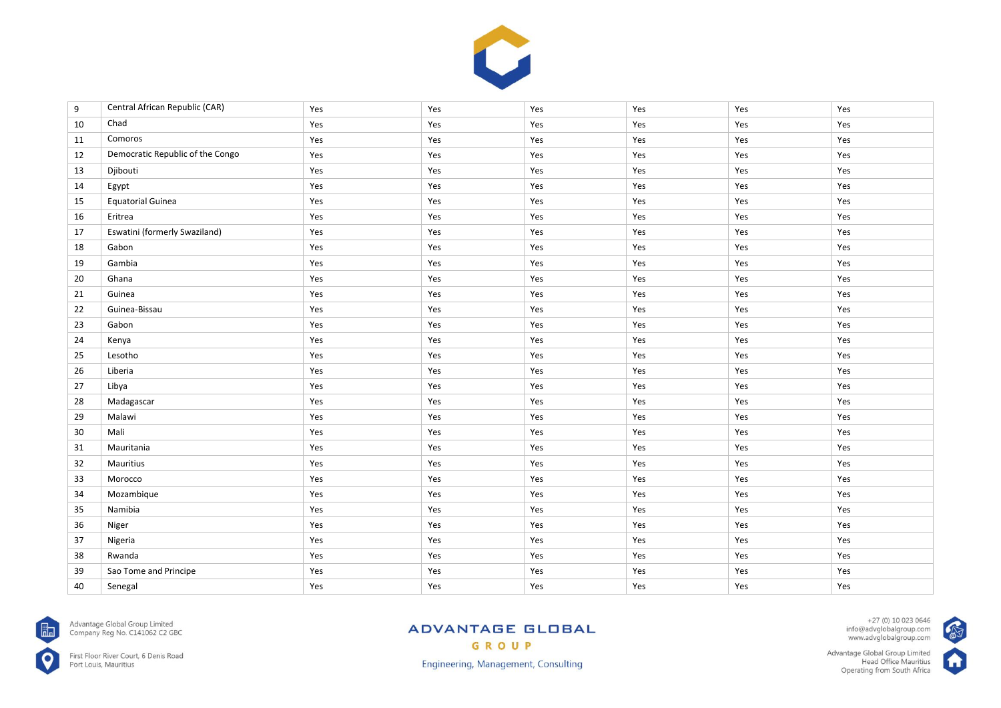

| 9  | Central African Republic (CAR)   | Yes | Yes | Yes | Yes | Yes | Yes |
|----|----------------------------------|-----|-----|-----|-----|-----|-----|
| 10 | Chad                             | Yes | Yes | Yes | Yes | Yes | Yes |
| 11 | Comoros                          | Yes | Yes | Yes | Yes | Yes | Yes |
| 12 | Democratic Republic of the Congo | Yes | Yes | Yes | Yes | Yes | Yes |
| 13 | Djibouti                         | Yes | Yes | Yes | Yes | Yes | Yes |
| 14 | Egypt                            | Yes | Yes | Yes | Yes | Yes | Yes |
| 15 | <b>Equatorial Guinea</b>         | Yes | Yes | Yes | Yes | Yes | Yes |
| 16 | Eritrea                          | Yes | Yes | Yes | Yes | Yes | Yes |
| 17 | Eswatini (formerly Swaziland)    | Yes | Yes | Yes | Yes | Yes | Yes |
| 18 | Gabon                            | Yes | Yes | Yes | Yes | Yes | Yes |
| 19 | Gambia                           | Yes | Yes | Yes | Yes | Yes | Yes |
| 20 | Ghana                            | Yes | Yes | Yes | Yes | Yes | Yes |
| 21 | Guinea                           | Yes | Yes | Yes | Yes | Yes | Yes |
| 22 | Guinea-Bissau                    | Yes | Yes | Yes | Yes | Yes | Yes |
| 23 | Gabon                            | Yes | Yes | Yes | Yes | Yes | Yes |
| 24 | Kenya                            | Yes | Yes | Yes | Yes | Yes | Yes |
| 25 | Lesotho                          | Yes | Yes | Yes | Yes | Yes | Yes |
| 26 | Liberia                          | Yes | Yes | Yes | Yes | Yes | Yes |
| 27 | Libya                            | Yes | Yes | Yes | Yes | Yes | Yes |
| 28 | Madagascar                       | Yes | Yes | Yes | Yes | Yes | Yes |
| 29 | Malawi                           | Yes | Yes | Yes | Yes | Yes | Yes |
| 30 | Mali                             | Yes | Yes | Yes | Yes | Yes | Yes |
| 31 | Mauritania                       | Yes | Yes | Yes | Yes | Yes | Yes |
| 32 | Mauritius                        | Yes | Yes | Yes | Yes | Yes | Yes |
| 33 | Morocco                          | Yes | Yes | Yes | Yes | Yes | Yes |
| 34 | Mozambique                       | Yes | Yes | Yes | Yes | Yes | Yes |
| 35 | Namibia                          | Yes | Yes | Yes | Yes | Yes | Yes |
| 36 | Niger                            | Yes | Yes | Yes | Yes | Yes | Yes |
| 37 | Nigeria                          | Yes | Yes | Yes | Yes | Yes | Yes |
| 38 | Rwanda                           | Yes | Yes | Yes | Yes | Yes | Yes |
| 39 | Sao Tome and Principe            | Yes | Yes | Yes | Yes | Yes | Yes |
| 40 | Senegal                          | Yes | Yes | Yes | Yes | Yes | Yes |



Advantage Global Group Limited<br>Company Reg No. C141062 C2 GBC

First Floor River Court, 6 Denis Road<br>Port Louis, Mauritius

# **ADVANTAGE GLOBAL** GROUP

+27 (0) 10 023 0646<br>info@advglobalgroup.com<br>www.advglobalgroup.com

Advantage Global Group Limited<br>Head Office Mauritius<br>Operating from South Africa



**CAN** 

Engineering, Management, Consulting